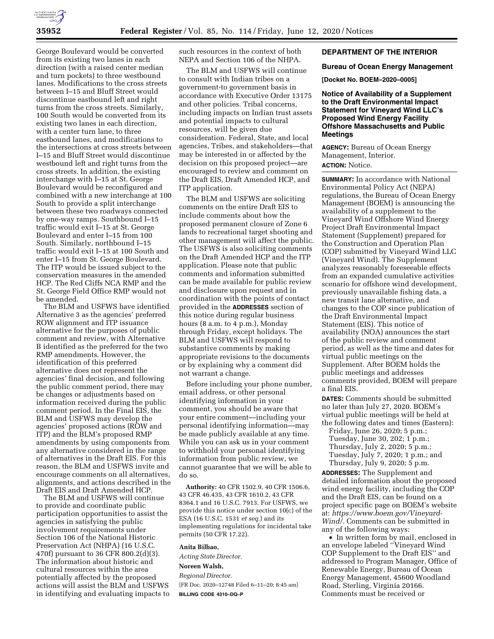

George Boulevard would be converted from its existing two lanes in each direction (with a raised center median and turn pockets) to three westbound lanes. Modifications to the cross streets between I–15 and Bluff Street would discontinue eastbound left and right turns from the cross streets. Similarly, 100 South would be converted from its existing two lanes in each direction, with a center turn lane, to three eastbound lanes, and modifications to the intersections at cross streets between I–15 and Bluff Street would discontinue westbound left and right turns from the cross streets. In addition, the existing interchange with I–15 at St. George Boulevard would be reconfigured and combined with a new interchange at 100 South to provide a split interchange between these two roadways connected by one-way ramps. Southbound I–15 traffic would exit I–15 at St. George Boulevard and enter I–15 from 100 South. Similarly, northbound I–15 traffic would exit I–15 at 100 South and enter I–15 from St. George Boulevard. The ITP would be issued subject to the conservation measures in the amended HCP. The Red Cliffs NCA RMP and the St. George Field Office RMP would not be amended.

The BLM and USFWS have identified Alternative 3 as the agencies' preferred ROW alignment and ITP issuance alternative for the purposes of public comment and review, with Alternative B identified as the preferred for the two RMP amendments. However, the identification of this preferred alternative does not represent the agencies' final decision, and following the public comment period, there may be changes or adjustments based on information received during the public comment period. In the Final EIS, the BLM and USFWS may develop the agencies' proposed actions (ROW and ITP) and the BLM's proposed RMP amendments by using components from any alternative considered in the range of alternatives in the Draft EIS. For this reason, the BLM and USFWS invite and encourage comments on all alternatives, alignments, and actions described in the Draft EIS and Draft Amended HCP.

The BLM and USFWS will continue to provide and coordinate public participation opportunities to assist the agencies in satisfying the public involvement requirements under Section 106 of the National Historic Preservation Act (NHPA) (16 U.S.C. 470f) pursuant to 36 CFR 800.2(d)(3). The information about historic and cultural resources within the area potentially affected by the proposed actions will assist the BLM and USFWS in identifying and evaluating impacts to such resources in the context of both NEPA and Section 106 of the NHPA.

The BLM and USFWS will continue to consult with Indian tribes on a government-to government basis in accordance with Executive Order 13175 and other policies. Tribal concerns, including impacts on Indian trust assets and potential impacts to cultural resources, will be given due consideration. Federal, State, and local agencies, Tribes, and stakeholders—that may be interested in or affected by the decision on this proposed project—are encouraged to review and comment on the Draft EIS, Draft Amended HCP, and ITP application.

The BLM and USFWS are soliciting comments on the entire Draft EIS to include comments about how the proposed permanent closure of Zone 6 lands to recreational target shooting and other management will affect the public. The USFWS is also soliciting comments on the Draft Amended HCP and the ITP application. Please note that public comments and information submitted can be made available for public review and disclosure upon request and in coordination with the points of contact provided in the **ADDRESSES** section of this notice during regular business hours (8 a.m. to 4 p.m.), Monday through Friday, except holidays. The BLM and USFWS will respond to substantive comments by making appropriate revisions to the documents or by explaining why a comment did not warrant a change.

Before including your phone number, email address, or other personal identifying information in your comment, you should be aware that your entire comment—including your personal identifying information—may be made publicly available at any time. While you can ask us in your comment to withhold your personal identifying information from public review, we cannot guarantee that we will be able to do so.

**Authority:** 40 CFR 1502.9, 40 CFR 1506.6, 43 CFR 46.435, 43 CFR 1610.2, 43 CFR 8364.1 and 16 U.S.C. 7913. For USFWS, we provide this notice under section 10(c) of the ESA (16 U.S.C. 1531 *et seq.*) and its implementing regulations for incidental take permits (50 CFR 17.22).

#### **Anita Bilbao,**

*Acting State Director.* 

#### **Noreen Walsh,**

*Regional Director.*  [FR Doc. 2020–12748 Filed 6–11–20; 8:45 am] **BILLING CODE 4310–DQ–P** 

#### **DEPARTMENT OF THE INTERIOR**

#### **Bureau of Ocean Energy Management**

**[Docket No. BOEM–2020–0005]** 

**Notice of Availability of a Supplement to the Draft Environmental Impact Statement for Vineyard Wind LLC's Proposed Wind Energy Facility Offshore Massachusetts and Public Meetings** 

**AGENCY:** Bureau of Ocean Energy Management, Interior.

## **ACTION:** Notice.

**SUMMARY:** In accordance with National Environmental Policy Act (NEPA) regulations, the Bureau of Ocean Energy Management (BOEM) is announcing the availability of a supplement to the Vineyard Wind Offshore Wind Energy Project Draft Environmental Impact Statement (Supplement) prepared for the Construction and Operation Plan (COP) submitted by Vineyard Wind LLC (Vineyard Wind). The Supplement analyzes reasonably foreseeable effects from an expanded cumulative activities scenario for offshore wind development, previously unavailable fishing data, a new transit lane alternative, and changes to the COP since publication of the Draft Environmental Impact Statement (EIS). This notice of availability (NOA) announces the start of the public review and comment period, as well as the time and dates for virtual public meetings on the Supplement. After BOEM holds the public meetings and addresses comments provided, BOEM will prepare a final EIS.

**DATES:** Comments should be submitted no later than July 27, 2020. BOEM's virtual public meetings will be held at the following dates and times (Eastern):

Friday, June 26, 2020; 5 p.m.; Tuesday, June 30, 202; 1 p.m.; Thursday, July 2, 2020; 5 p.m.; Tuesday, July 7, 2020; 1 p.m.; and Thursday, July 9, 2020; 5 p.m.

**ADDRESSES:** The Supplement and detailed information about the proposed wind energy facility, including the COP and the Draft EIS, can be found on a project specific page on BOEM's website at: *[https://www.boem.gov/Vineyard-](https://www.boem.gov/Vineyard-Wind/)Wind*/. Comments can be submitted in any of the following ways:

• In written form by mail, enclosed in an envelope labeled ''Vineyard Wind COP Supplement to the Draft EIS'' and addressed to Program Manager, Office of Renewable Energy, Bureau of Ocean Energy Management, 45600 Woodland Road, Sterling, Virginia 20166. Comments must be received or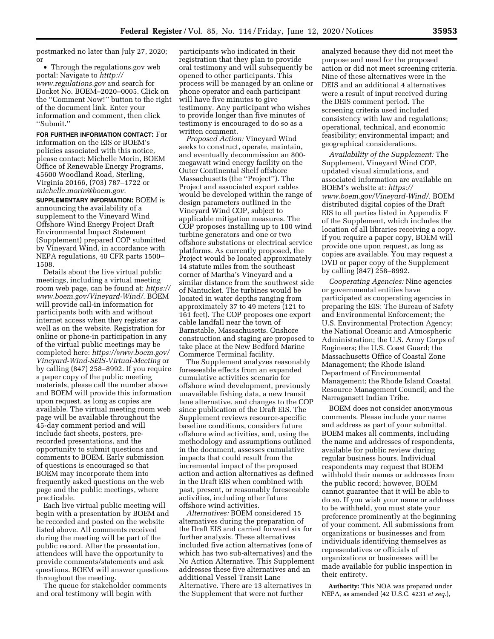postmarked no later than July 27, 2020; or

• Through the regulations.gov web portal: Navigate to *htttp:// [www.regulations.gov](http://www.regulations.gov)* and search for Docket No. BOEM–2020–0005. Click on the ''Comment Now!'' button to the right of the document link. Enter your information and comment, then click ''Submit.''

**FOR FURTHER INFORMATION CONTACT:** For information on the EIS or BOEM's policies associated with this notice, please contact: Michelle Morin, BOEM Office of Renewable Energy Programs, 45600 Woodland Road, Sterling, Virginia 20166, (703) 787–1722 or *[michelle.morin@boem.gov.](mailto:michelle.morin@boem.gov)* 

**SUPPLEMENTARY INFORMATION:** BOEM is announcing the availability of a supplement to the Vineyard Wind Offshore Wind Energy Project Draft Environmental Impact Statement (Supplement) prepared COP submitted by Vineyard Wind, in accordance with NEPA regulations, 40 CFR parts 1500– 1508.

Details about the live virtual public meetings, including a virtual meeting room web page, can be found at: *[https://](https://www.boem.gov/Vineyard-Wind/) [www.boem.gov/Vineyard-Wind/.](https://www.boem.gov/Vineyard-Wind/)* BOEM will provide call-in information for participants both with and without internet access when they register as well as on the website. Registration for online or phone-in participation in any of the virtual public meetings may be completed here: *[https://www.boem.gov/](https://www.boem.gov/Vineyard-Wind-SEIS-Virtual-Meeting) [Vineyard-Wind-SEIS-Virtual-Meeting](https://www.boem.gov/Vineyard-Wind-SEIS-Virtual-Meeting)* or by calling (847) 258–8992. If you require a paper copy of the public meeting materials, please call the number above and BOEM will provide this information upon request, as long as copies are available. The virtual meeting room web page will be available throughout the 45-day comment period and will include fact sheets, posters, prerecorded presentations, and the opportunity to submit questions and comments to BOEM. Early submission of questions is encouraged so that BOEM may incorporate them into frequently asked questions on the web page and the public meetings, where practicable.

Each live virtual public meeting will begin with a presentation by BOEM and be recorded and posted on the website listed above. All comments received during the meeting will be part of the public record. After the presentation, attendees will have the opportunity to provide comments/statements and ask questions. BOEM will answer questions throughout the meeting.

The queue for stakeholder comments and oral testimony will begin with

participants who indicated in their registration that they plan to provide oral testimony and will subsequently be opened to other participants. This process will be managed by an online or phone operator and each participant will have five minutes to give testimony. Any participant who wishes to provide longer than five minutes of testimony is encouraged to do so as a written comment.

*Proposed Action:* Vineyard Wind seeks to construct, operate, maintain, and eventually decommission an 800 megawatt wind energy facility on the Outer Continental Shelf offshore Massachusetts (the ''Project''). The Project and associated export cables would be developed within the range of design parameters outlined in the Vineyard Wind COP, subject to applicable mitigation measures. The COP proposes installing up to 100 wind turbine generators and one or two offshore substations or electrical service platforms. As currently proposed, the Project would be located approximately 14 statute miles from the southeast corner of Martha's Vineyard and a similar distance from the southwest side of Nantucket. The turbines would be located in water depths ranging from approximately 37 to 49 meters (121 to 161 feet). The COP proposes one export cable landfall near the town of Barnstable, Massachusetts. Onshore construction and staging are proposed to take place at the New Bedford Marine Commerce Terminal facility.

The Supplement analyzes reasonably foreseeable effects from an expanded cumulative activities scenario for offshore wind development, previously unavailable fishing data, a new transit lane alternative, and changes to the COP since publication of the Draft EIS. The Supplement reviews resource-specific baseline conditions, considers future offshore wind activities, and, using the methodology and assumptions outlined in the document, assesses cumulative impacts that could result from the incremental impact of the proposed action and action alternatives as defined in the Draft EIS when combined with past, present, or reasonably foreseeable activities, including other future offshore wind activities.

*Alternatives:* BOEM considered 15 alternatives during the preparation of the Draft EIS and carried forward six for further analysis. These alternatives included five action alternatives (one of which has two sub-alternatives) and the No Action Alternative. This Supplement addresses these five alternatives and an additional Vessel Transit Lane Alternative. There are 13 alternatives in the Supplement that were not further

analyzed because they did not meet the purpose and need for the proposed action or did not meet screening criteria. Nine of these alternatives were in the DEIS and an additional 4 alternatives were a result of input received during the DEIS comment period. The screening criteria used included consistency with law and regulations; operational, technical, and economic feasibility; environmental impact; and geographical considerations.

*Availability of the Supplement:* The Supplement, Vineyard Wind COP, updated visual simulations, and associated information are available on BOEM's website at: *[https://](https://www.boem.gov/Vineyard-Wind/) [www.boem.gov/Vineyard-Wind/.](https://www.boem.gov/Vineyard-Wind/)* BOEM distributed digital copies of the Draft EIS to all parties listed in Appendix F of the Supplement, which includes the location of all libraries receiving a copy. If you require a paper copy, BOEM will provide one upon request, as long as copies are available. You may request a DVD or paper copy of the Supplement by calling (847) 258–8992.

*Cooperating Agencies:* Nine agencies or governmental entities have participated as cooperating agencies in preparing the EIS: The Bureau of Safety and Environmental Enforcement; the U.S. Environmental Protection Agency; the National Oceanic and Atmospheric Administration; the U.S. Army Corps of Engineers; the U.S. Coast Guard; the Massachusetts Office of Coastal Zone Management; the Rhode Island Department of Environmental Management; the Rhode Island Coastal Resource Management Council; and the Narragansett Indian Tribe.

BOEM does not consider anonymous comments. Please include your name and address as part of your submittal. BOEM makes all comments, including the name and addresses of respondents, available for public review during regular business hours. Individual respondents may request that BOEM withhold their names or addresses from the public record; however, BOEM cannot guarantee that it will be able to do so. If you wish your name or address to be withheld, you must state your preference prominently at the beginning of your comment. All submissions from organizations or businesses and from individuals identifying themselves as representatives or officials of organizations or businesses will be made available for public inspection in their entirety.

**Authority:** This NOA was prepared under NEPA, as amended (42 U.S.C. 4231 *et seq.*),